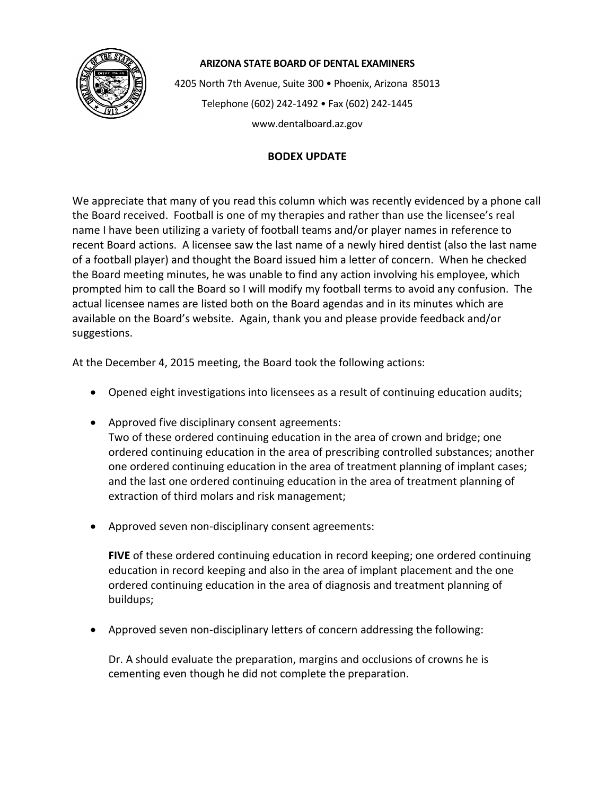

## **ARIZONA STATE BOARD OF DENTAL EXAMINERS**

4205 North 7th Avenue, Suite 300 • Phoenix, Arizona 85013 Telephone (602) 242-1492 • Fax (602) 242-1445 www.dentalboard.az.gov

## **BODEX UPDATE**

We appreciate that many of you read this column which was recently evidenced by a phone call the Board received. Football is one of my therapies and rather than use the licensee's real name I have been utilizing a variety of football teams and/or player names in reference to recent Board actions. A licensee saw the last name of a newly hired dentist (also the last name of a football player) and thought the Board issued him a letter of concern. When he checked the Board meeting minutes, he was unable to find any action involving his employee, which prompted him to call the Board so I will modify my football terms to avoid any confusion. The actual licensee names are listed both on the Board agendas and in its minutes which are available on the Board's website. Again, thank you and please provide feedback and/or suggestions.

At the December 4, 2015 meeting, the Board took the following actions:

- Opened eight investigations into licensees as a result of continuing education audits;
- Approved five disciplinary consent agreements: Two of these ordered continuing education in the area of crown and bridge; one ordered continuing education in the area of prescribing controlled substances; another one ordered continuing education in the area of treatment planning of implant cases; and the last one ordered continuing education in the area of treatment planning of extraction of third molars and risk management;
- Approved seven non-disciplinary consent agreements:

**FIVE** of these ordered continuing education in record keeping; one ordered continuing education in record keeping and also in the area of implant placement and the one ordered continuing education in the area of diagnosis and treatment planning of buildups;

• Approved seven non-disciplinary letters of concern addressing the following:

Dr. A should evaluate the preparation, margins and occlusions of crowns he is cementing even though he did not complete the preparation.